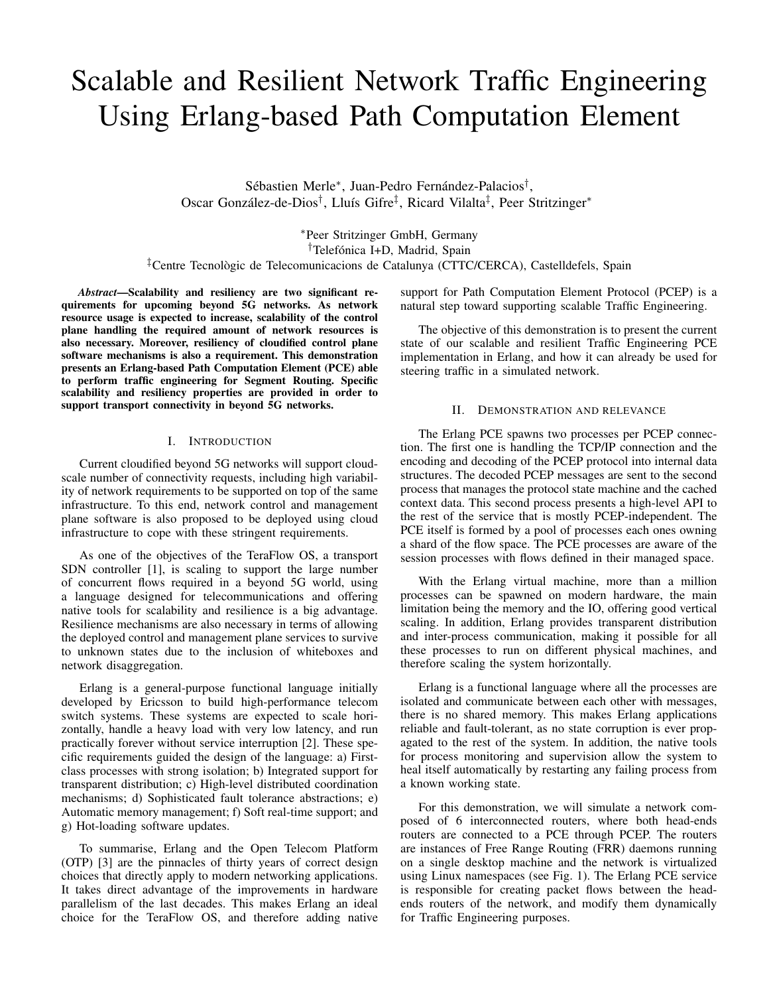# Scalable and Resilient Network Traffic Engineering Using Erlang-based Path Computation Element

Sébastien Merle\*, Juan-Pedro Fernández-Palacios<sup>†</sup>, Oscar González-de-Dios<sup>†</sup>, Lluís Gifre<sup>‡</sup>, Ricard Vilalta<sup>‡</sup>, Peer Stritzinger<sup>\*</sup>

<sup>∗</sup>Peer Stritzinger GmbH, Germany <sup>†</sup>Telefónica I+D, Madrid, Spain ‡Centre Tecnologic de Telecomunicacions de Catalunya (CTTC/CERCA), Castelldefels, Spain `

*Abstract*—Scalability and resiliency are two significant requirements for upcoming beyond 5G networks. As network resource usage is expected to increase, scalability of the control plane handling the required amount of network resources is also necessary. Moreover, resiliency of cloudified control plane software mechanisms is also a requirement. This demonstration presents an Erlang-based Path Computation Element (PCE) able to perform traffic engineering for Segment Routing. Specific scalability and resiliency properties are provided in order to support transport connectivity in beyond 5G networks.

## I. INTRODUCTION

Current cloudified beyond 5G networks will support cloudscale number of connectivity requests, including high variability of network requirements to be supported on top of the same infrastructure. To this end, network control and management plane software is also proposed to be deployed using cloud infrastructure to cope with these stringent requirements.

As one of the objectives of the TeraFlow OS, a transport SDN controller [1], is scaling to support the large number of concurrent flows required in a beyond 5G world, using a language designed for telecommunications and offering native tools for scalability and resilience is a big advantage. Resilience mechanisms are also necessary in terms of allowing the deployed control and management plane services to survive to unknown states due to the inclusion of whiteboxes and network disaggregation.

Erlang is a general-purpose functional language initially developed by Ericsson to build high-performance telecom switch systems. These systems are expected to scale horizontally, handle a heavy load with very low latency, and run practically forever without service interruption [2]. These specific requirements guided the design of the language: a) Firstclass processes with strong isolation; b) Integrated support for transparent distribution; c) High-level distributed coordination mechanisms; d) Sophisticated fault tolerance abstractions; e) Automatic memory management; f) Soft real-time support; and g) Hot-loading software updates.

To summarise, Erlang and the Open Telecom Platform (OTP) [3] are the pinnacles of thirty years of correct design choices that directly apply to modern networking applications. It takes direct advantage of the improvements in hardware parallelism of the last decades. This makes Erlang an ideal choice for the TeraFlow OS, and therefore adding native support for Path Computation Element Protocol (PCEP) is a natural step toward supporting scalable Traffic Engineering.

The objective of this demonstration is to present the current state of our scalable and resilient Traffic Engineering PCE implementation in Erlang, and how it can already be used for steering traffic in a simulated network.

## II. DEMONSTRATION AND RELEVANCE

The Erlang PCE spawns two processes per PCEP connection. The first one is handling the TCP/IP connection and the encoding and decoding of the PCEP protocol into internal data structures. The decoded PCEP messages are sent to the second process that manages the protocol state machine and the cached context data. This second process presents a high-level API to the rest of the service that is mostly PCEP-independent. The PCE itself is formed by a pool of processes each ones owning a shard of the flow space. The PCE processes are aware of the session processes with flows defined in their managed space.

With the Erlang virtual machine, more than a million processes can be spawned on modern hardware, the main limitation being the memory and the IO, offering good vertical scaling. In addition, Erlang provides transparent distribution and inter-process communication, making it possible for all these processes to run on different physical machines, and therefore scaling the system horizontally.

Erlang is a functional language where all the processes are isolated and communicate between each other with messages, there is no shared memory. This makes Erlang applications reliable and fault-tolerant, as no state corruption is ever propagated to the rest of the system. In addition, the native tools for process monitoring and supervision allow the system to heal itself automatically by restarting any failing process from a known working state.

For this demonstration, we will simulate a network composed of 6 interconnected routers, where both head-ends routers are connected to a PCE through PCEP. The routers are instances of Free Range Routing (FRR) daemons running on a single desktop machine and the network is virtualized using Linux namespaces (see Fig. 1). The Erlang PCE service is responsible for creating packet flows between the headends routers of the network, and modify them dynamically for Traffic Engineering purposes.